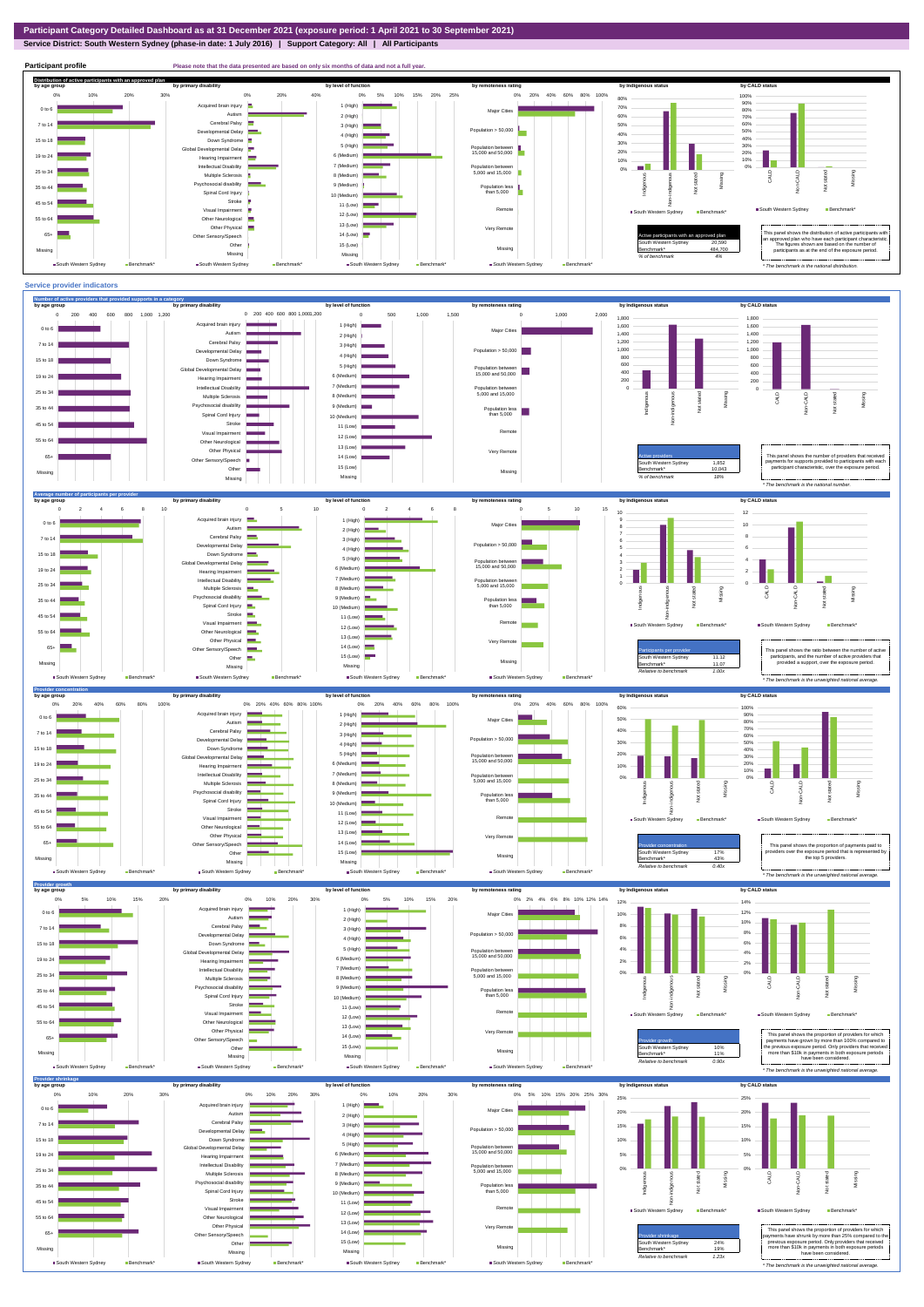**Service District: South Western Sydney (phase-in date: 1 July 2016) | Support Category: All | All Participants**



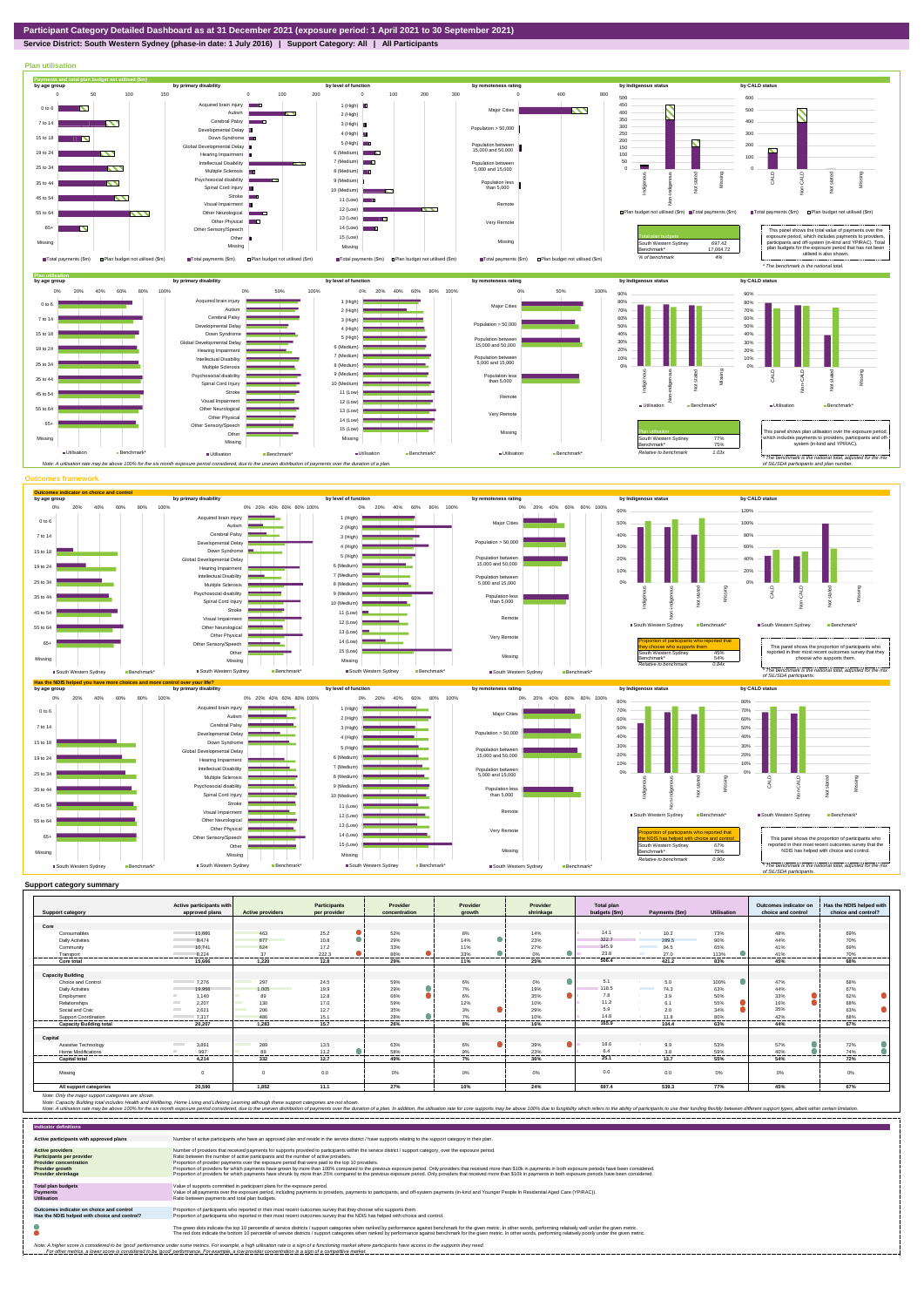**Service District: South Western Sydney (phase-in date: 1 July 2016) | Support Category: All | All Participants**



|                                | Active participants with          |                                 | <b>Participants</b> | Provider      | Provider | Provider  | <b>Total plan</b>                  |                 | Outcomes indicator on | Has the NDIS helped with |
|--------------------------------|-----------------------------------|---------------------------------|---------------------|---------------|----------|-----------|------------------------------------|-----------------|-----------------------|--------------------------|
| <b>Support category</b>        | approved plans                    | <b>Active providers</b>         | per provider        | concentration | arowth   | shrinkage | budgets (\$m)<br>Payments (\$m)    | Utilisation     | choice and control    | choice and control?      |
|                                |                                   |                                 |                     |               |          |           |                                    |                 |                       |                          |
| Core                           |                                   |                                 |                     |               |          |           |                                    |                 |                       |                          |
| Consumables                    | 11.666                            | 463                             | 25.2                | 52%           | 8%       | 14%       | 14.1<br>10.2                       | 73%             | 48%                   | 69%                      |
| <b>Daily Activities</b>        | 9.474                             | 877<br><b>Service Service</b>   | 10.8                | 29%           | 14%      | 23%       | 322.7<br>289.5                     | 90%             | 44%                   | 70%                      |
| Community                      | 10.741                            | 624                             | 17.2                | 33%           | 11%      | 27%       | 145.9<br>94.5                      | 65%             | 41%                   | 69%                      |
| Transport                      | 8.224                             | 37<br>-------                   | 222.3<br>.          | 86%<br>       | 33%      | 0%<br>.   | 23.8<br>27.0                       | 113%<br>------- | 41%<br>               | 70%<br>--------          |
| Core total                     | 15,666                            | 1.220                           | 12.8                | 29%           | 11%      | 25%       | 506.4<br>421.2                     | 83%             | 45%                   | 68%                      |
|                                |                                   |                                 |                     |               |          |           |                                    |                 |                       |                          |
| <b>Capacity Building</b>       |                                   |                                 |                     |               |          |           |                                    |                 |                       |                          |
| Choice and Control             | 7.276                             | 297                             | 24.5                | 59%           | 6%       | 0%        | 5.1<br>5.0                         | 100%            | 47%                   | 68%                      |
| <b>Daily Activities</b>        | 19.956                            | 1.005                           | 19.9                | 29%           | 7%       | 19%       | 118.5<br>74.3<br><b>The Common</b> | 63%             | 44%                   | 67%                      |
| Employment                     | 1.140                             | 89                              | 12.8                | 66%           | 6%       | 35%       | 7.8<br>3.9                         | 50%             | 33%                   | 62%                      |
| Relationships                  | 2,207<br><b>The Contract</b>      | 130<br>m,                       | 17.0                | 59%           | 12%      | 10%       | 11.2<br>6.1                        | 55%             | 16%                   | 68%                      |
| Social and Civic               | <b>Contract</b><br>2.621          | 206<br><b>Contract Contract</b> | 12.7                | 35%           | 3%       | 29%       | 5.9<br>2.0                         | 34%             | 35%                   | 63%                      |
| Support Coordination           | 7.317                             | 486                             | 15.1<br>-------     | 28%<br>.      | 7%<br>.  | 10%<br>.  | 14.8<br>11.8                       | 80%<br>------   | 42%<br>------         | 68%<br>                  |
| <b>Capacity Building total</b> | 20.207                            | 1.283                           | 15.7                | 26%           | 8%       | 16%       | 165.9<br>104.4                     | 63%             | 44%                   | 67%                      |
|                                |                                   |                                 |                     |               |          |           |                                    |                 |                       |                          |
| Capital                        |                                   |                                 |                     |               |          |           |                                    |                 |                       |                          |
| Assistive Technology           | <b>Contract Contract</b><br>3.891 | 289                             | 13.5                | 63%           | 6%       | 39%       | 18.6<br>9.9                        | 53%             | 57%                   | 72%                      |
| Home Modifications             | 997                               | 89                              | 11.2                | 58%           | 9%       | 23%       | 6.4<br>3.8                         | 59%             | 40%                   | 74%                      |
| <b>Capital total</b>           | 4.214                             | 332                             | 12.7                | 49%           | 7%       | 36%       | 25.1<br>13.7                       | 55%             | 54%                   | 72%                      |
|                                |                                   |                                 |                     |               |          |           |                                    |                 |                       |                          |
| Missina                        |                                   | $\Omega$                        | 0.0                 | 0%            | 0%       | 0%        | 0.0<br>0.0                         | 0%              | 0%                    | 0%                       |
| All support categories         | 20.590                            | 1.852                           | 11.1                | 27%           | 10%      | 24%       | 697.4<br>539.3                     | 77%             | 45%                   | 67%                      |

Note: Only the major support categories are shown.<br>Note: Capacity Building total individual Wellbeing, Home Living and Lifelong Learning although these support categories are not shown.<br>Note: A utilisation rate may be abov

| <b>Indicator definitions</b>                                                                                                                                                                                                                                                                                                                                              |                                                                                                                                                                                                                                                                                                                                                                                                                                                                                                                                                                                                                                                                                                                                                                                                                 |  |  |  |  |  |
|---------------------------------------------------------------------------------------------------------------------------------------------------------------------------------------------------------------------------------------------------------------------------------------------------------------------------------------------------------------------------|-----------------------------------------------------------------------------------------------------------------------------------------------------------------------------------------------------------------------------------------------------------------------------------------------------------------------------------------------------------------------------------------------------------------------------------------------------------------------------------------------------------------------------------------------------------------------------------------------------------------------------------------------------------------------------------------------------------------------------------------------------------------------------------------------------------------|--|--|--|--|--|
| Active participants with approved plans                                                                                                                                                                                                                                                                                                                                   | Number of active participants who have an approved plan and reside in the service district / have supports relating to the support category in their plan.                                                                                                                                                                                                                                                                                                                                                                                                                                                                                                                                                                                                                                                      |  |  |  |  |  |
| <b>Active providers</b><br><b>Participants per provider</b><br><b>Provider concentration</b><br><b>Provider growth</b><br><b>Provider shrinkage</b>                                                                                                                                                                                                                       | Number of providers that received payments for supports provided to participants within the service district / support category, over the exposure period.<br>Ratio between the number of active participants and the number of active providers.<br>Proportion of provider payments over the exposure period that were paid to the top 10 providers.<br>Proportion of providers for which payments have grown by more than 100% compared to the previous exposure period. Only providers that received more than \$10k in payments in both exposure periods have been considered.<br>Proportion of providers for which payments have shrunk by more than 25% compared to the previous exposure period. Only providers that received more than \$10k in payments in both exposure periods have been considered. |  |  |  |  |  |
| <b>Total plan budgets</b><br><b>Payments</b><br><b>Utilisation</b>                                                                                                                                                                                                                                                                                                        | Value of supports committed in participant plans for the exposure period.<br>Value of all payments over the exposure period, including payments to providers, payments to participants, and off-system payments (in-kind and Younger People In Residential Aged Care (YPIRAC)).<br>Ratio between payments and total plan budgets.                                                                                                                                                                                                                                                                                                                                                                                                                                                                               |  |  |  |  |  |
| Outcomes indicator on choice and control<br>Has the NDIS helped with choice and control?                                                                                                                                                                                                                                                                                  | Proportion of participants who reported in their most recent outcomes survey that they choose who supports them.<br>Proportion of participants who reported in their most recent outcomes survey that the NDIS has helped with choice and control.                                                                                                                                                                                                                                                                                                                                                                                                                                                                                                                                                              |  |  |  |  |  |
|                                                                                                                                                                                                                                                                                                                                                                           | The green dots indicate the top 10 percentile of service districts / support categories when ranked by performance against benchmark for the given metric. In other words, performing relatively well under the given metric.<br>The red dots indicate the bottom 10 percentile of service districts / support categories when ranked by performance against benchmark for the given metric. In other words, performing relatively poorly under the given metri                                                                                                                                                                                                                                                                                                                                                 |  |  |  |  |  |
| Note: A higher score is considered to be 'good' performance under some metrics. For example, a high utilisation rate is a sign of a functioning market where participants have access to the supports they need.<br>For other metrics, a lower score is considered to be 'good' performance. For example, a low provider concentration is a sign of a competitive market. |                                                                                                                                                                                                                                                                                                                                                                                                                                                                                                                                                                                                                                                                                                                                                                                                                 |  |  |  |  |  |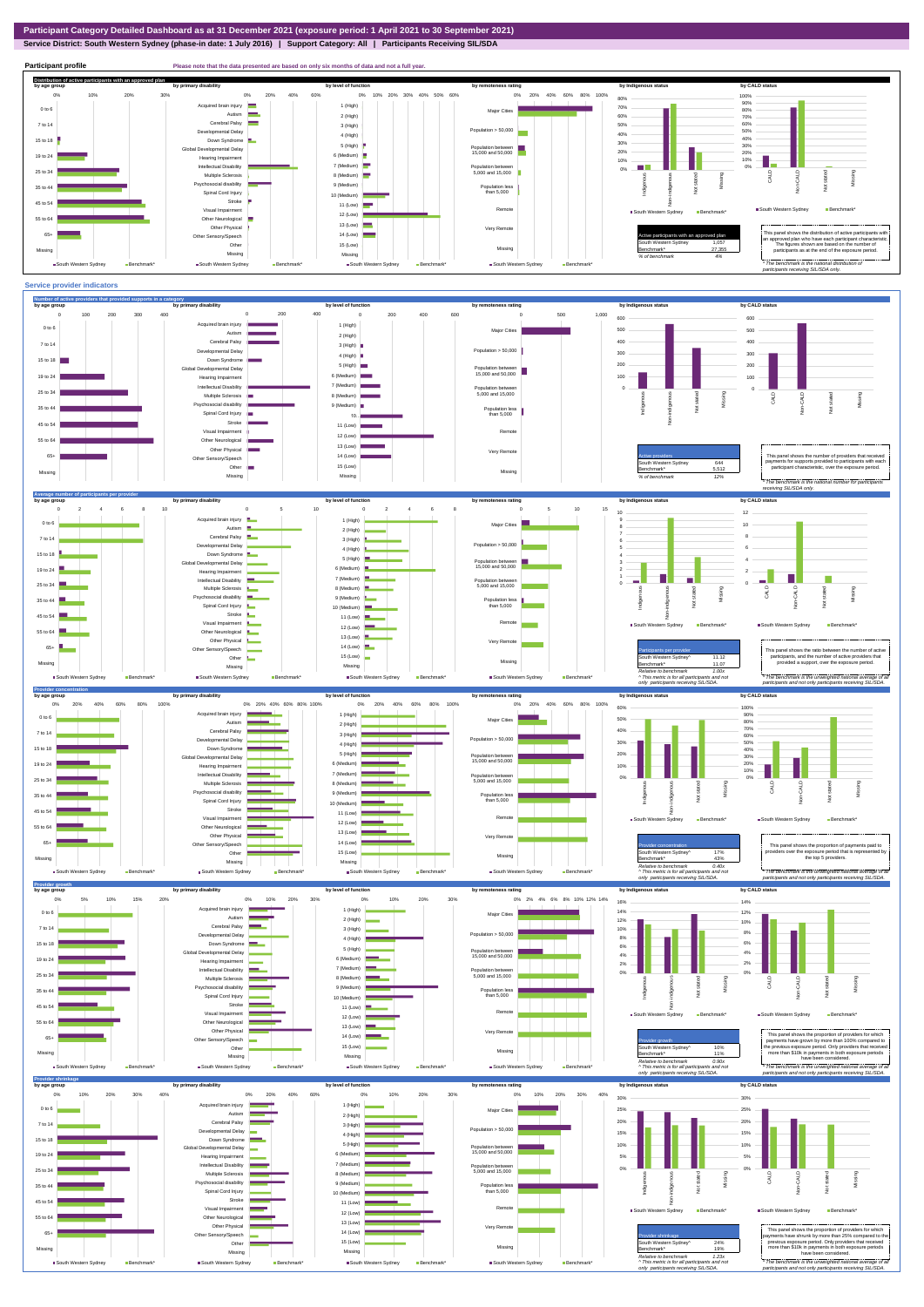## **Service District: South Western Sydney (phase-in date: 1 July 2016) | Support Category: All | Participants Receiving SIL/SDA**



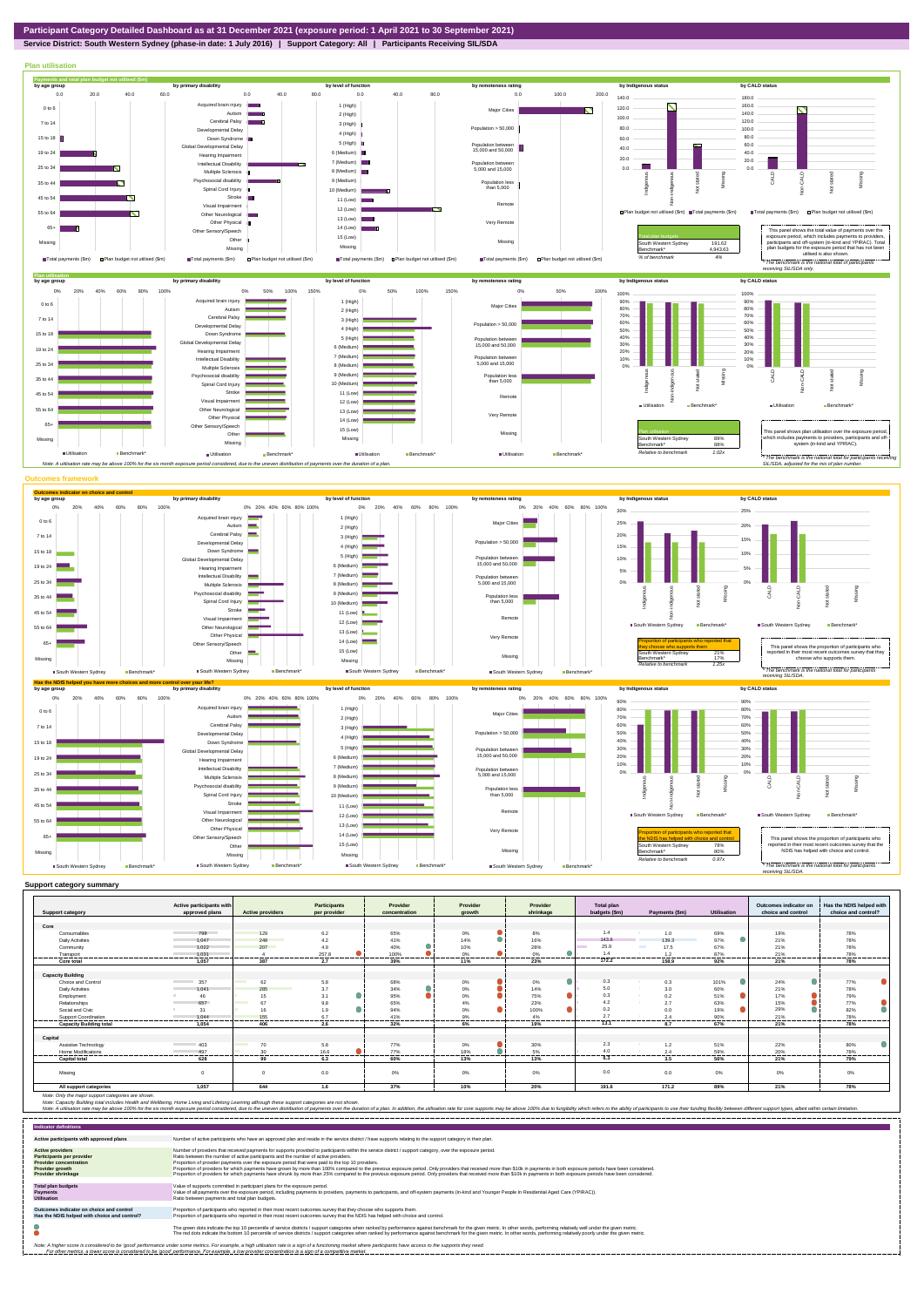

**Service District: South Western Sydney (phase-in date: 1 July 2016) | Support Category: All | Participants Receiving SIL/SDA**



|                                | Active participants with        |                         | <b>Participants</b> | Provider         | Provider         | Provider                              | <b>Total plan</b> |                             |                | Outcomes indicator on | Has the NDIS helped with |
|--------------------------------|---------------------------------|-------------------------|---------------------|------------------|------------------|---------------------------------------|-------------------|-----------------------------|----------------|-----------------------|--------------------------|
| <b>Support category</b>        | approved plans                  | <b>Active providers</b> | per provider        | concentration    | arowth           | shrinkage                             | budgets (\$m)     | Payments (\$m)              | Utilisation    | choice and control    | choice and control?      |
|                                |                                 |                         |                     |                  |                  |                                       |                   |                             |                |                       |                          |
| Core                           |                                 |                         |                     |                  |                  |                                       |                   |                             |                |                       |                          |
| Consumables                    | 798                             | 129                     | 6.2                 | 65%              | 0%               | 8%                                    | 1.4               | 1.0                         | 69%            | 19%                   | 78%                      |
| <b>Daily Activities</b>        | 1.047                           | 248                     | 4.2                 | 41%              | $\bullet$<br>14% | 16%                                   | 143.6             | 139.3                       | 97%            | 21%                   | 78%                      |
| Community                      | 1.022                           | 207                     | 4.9                 | 40%              | 10%              | 28%                                   | 25.9              | <b>The Contract</b><br>17.5 | 67%            | 21%                   | 78%                      |
| Transport                      | 1.031                           | .                       | 257.8<br>--------   | 100%<br>-------- | 0%<br>.          | ≏<br>$\Omega$ <sup>o</sup><br>------- | 1.4<br>           | 1.2<br>.                    | 87%<br>------- | 21%<br>.              | 78%<br>.                 |
| Core total                     | 1.057                           | 387                     | 2.7                 | 39%              | 11%              | 23%                                   | 172.2             | 158.9                       | 92%            | 21%                   | 78%                      |
|                                |                                 |                         |                     |                  |                  |                                       |                   |                             |                |                       |                          |
| <b>Capacity Building</b>       |                                 |                         |                     |                  |                  |                                       |                   |                             |                |                       |                          |
| Choice and Control             | <b>Contract Contract</b><br>357 | 62                      | 5.8                 | 68%              | 0%               | 0%<br>o                               | 0.3               | 0.3                         | 101%           | О<br>24%              | 77%                      |
| <b>Daily Activities</b>        | 1.041                           | 285                     | 3.7                 | 34%              | $0\%$            | 14%                                   | 5.0               | - 6<br>3.0                  | 60%            | 21%                   | 78%                      |
| Employment                     | 46                              | 15                      | 3.1                 | 95%              | 0%               | Δ<br>75%                              | 0.3               | 0.2<br>- 40                 | 51%            | 17%                   | 79%                      |
| Relationships                  | 657                             | 67                      | 9.8                 | 65%              | 4%               | 23%                                   | 4.2               | 2.7                         | 63%            | 15%                   | 77%                      |
| Social and Civic               | 31                              | 16                      | 1.9                 | 94%              | ▲<br>0%          | 100%                                  | 0.2               | 0.0                         | 19%            | 29%                   | 82%                      |
| Support Coordination           | 1.044                           | 155                     | 6.7                 | 41%              | 9%               | 4%                                    | 2.7               | 2.4                         | 90%            | 21%                   | 78%                      |
| <b>Capacity Building total</b> | 1.054                           | 406                     | ------<br>2.6       | 32%              | 6%               | 19%                                   | 13.1              | 8.7                         | 67%            | 21%                   | 78%                      |
|                                |                                 |                         |                     |                  |                  |                                       |                   |                             |                |                       |                          |
| Capital                        |                                 |                         |                     |                  |                  |                                       |                   |                             |                |                       |                          |
| Assistive Technology           | 403<br><b>Contract Contract</b> | 70                      | 5.8                 | 77%              | 0%               | 30%                                   | 2.3               | 1.2                         | 51%            | 22%                   | 80%                      |
| Home Modifications             | 497                             | 30                      | 16.6                | 77%              | 18%              | 5%                                    | 4.0               | 2.4                         | 59%            | 20%                   | 78%                      |
| <b>Capital total</b>           | 628                             | 99                      | 6.3                 | 60%              | 13%              | 13%                                   | 6.3               | 3.5                         | 56%            | 21%                   | 79%                      |
|                                |                                 |                         |                     |                  |                  |                                       |                   |                             |                |                       |                          |
| Missing                        | $\Omega$                        |                         | 0.0                 | 0%               | 0%               | 0%                                    | 0.0               | 0.0                         | $0\%$          | 0%                    | 0%                       |
|                                |                                 |                         |                     |                  |                  |                                       |                   |                             |                |                       |                          |
| All support categories         | 1,057                           | 644                     | 1.6                 | 37%              | 10%              | 20%                                   | 191.6             | 171.2                       | 89%            | 21%                   | 78%                      |

Note: Only the major support categories are shown.<br>Note: Capacity Building total individual Wellbeing, Home Living and Lifelong Learning although these support categories are not shown.<br>Note: A utilisation rate may be abov

| <b>Indicator definitions</b>                                                                                                                                                                                                                                                                                                                                              |                                                                                                                                                                                                                                                                                                                                                                                                                                                                                                                                                                                                                                                                                                                                                                                                                 |  |  |  |  |
|---------------------------------------------------------------------------------------------------------------------------------------------------------------------------------------------------------------------------------------------------------------------------------------------------------------------------------------------------------------------------|-----------------------------------------------------------------------------------------------------------------------------------------------------------------------------------------------------------------------------------------------------------------------------------------------------------------------------------------------------------------------------------------------------------------------------------------------------------------------------------------------------------------------------------------------------------------------------------------------------------------------------------------------------------------------------------------------------------------------------------------------------------------------------------------------------------------|--|--|--|--|
| Active participants with approved plans                                                                                                                                                                                                                                                                                                                                   | Number of active participants who have an approved plan and reside in the service district / have supports relating to the support category in their plan.                                                                                                                                                                                                                                                                                                                                                                                                                                                                                                                                                                                                                                                      |  |  |  |  |
| <b>Active providers</b><br><b>Participants per provider</b><br><b>Provider concentration</b><br>Provider growth<br><b>Provider shrinkage</b>                                                                                                                                                                                                                              | Number of providers that received payments for supports provided to participants within the service district / support category, over the exposure period.<br>Ratio between the number of active participants and the number of active providers.<br>Proportion of provider payments over the exposure period that were paid to the top 10 providers.<br>Proportion of providers for which payments have grown by more than 100% compared to the previous exposure period. Only providers that received more than \$10k in payments in both exposure periods have been considered.<br>Proportion of providers for which payments have shrunk by more than 25% compared to the previous exposure period. Only providers that received more than \$10k in payments in both exposure periods have been considered. |  |  |  |  |
| <b>Total plan budgets</b><br>Payments<br><b>Utilisation</b>                                                                                                                                                                                                                                                                                                               | Value of supports committed in participant plans for the exposure period.<br>Value of all payments over the exposure period, including payments to providers, payments to participants, and off-system payments (in-kind and Younger People In Residential Aged Care (YPIRAC)).<br>Ratio between payments and total plan budgets.                                                                                                                                                                                                                                                                                                                                                                                                                                                                               |  |  |  |  |
| Outcomes indicator on choice and control<br>Has the NDIS helped with choice and control?                                                                                                                                                                                                                                                                                  | Proportion of participants who reported in their most recent outcomes survey that they choose who supports them.<br>Proportion of participants who reported in their most recent outcomes survey that the NDIS has helped with choice and control.                                                                                                                                                                                                                                                                                                                                                                                                                                                                                                                                                              |  |  |  |  |
|                                                                                                                                                                                                                                                                                                                                                                           | The green dots indicate the top 10 percentile of service districts / support categories when ranked by performance against benchmark for the given metric. In other words, performing relatively well under the given metric.<br>The red dots indicate the bottom 10 percentile of service districts / support categories when ranked by performance against benchmark for the given metric. In other words, performing relatively poorly under the given metri                                                                                                                                                                                                                                                                                                                                                 |  |  |  |  |
| Note: A higher score is considered to be 'good' performance under some metrics. For example, a high utilisation rate is a sign of a functioning market where participants have access to the supports they need.<br>For other metrics, a lower score is considered to be 'good' performance. For example, a low provider concentration is a sign of a competitive market. |                                                                                                                                                                                                                                                                                                                                                                                                                                                                                                                                                                                                                                                                                                                                                                                                                 |  |  |  |  |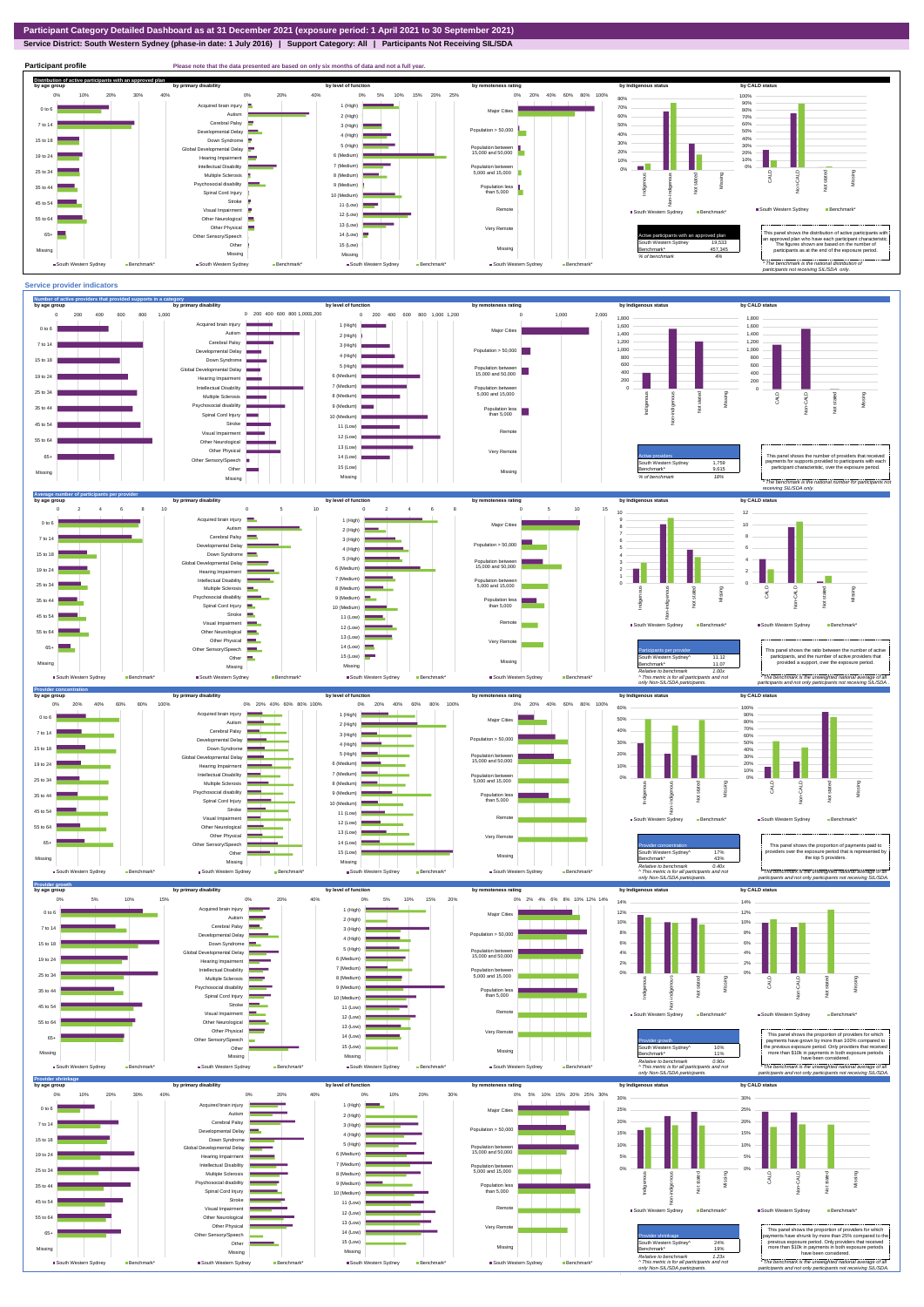**Service District: South Western Sydney (phase-in date: 1 July 2016) | Support Category: All | Participants Not Receiving SIL/SDA**